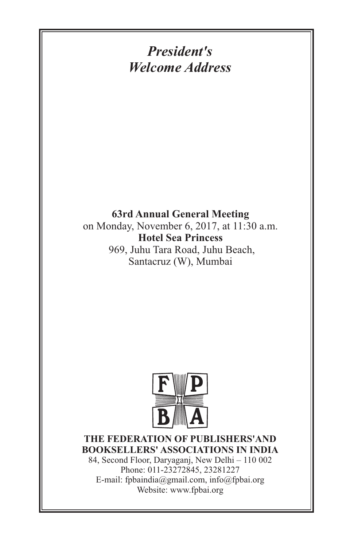# *President's Welcome Address*

#### **63rd Annual General Meeting**

on Monday, November 6, 2017, at 11:30 a.m. **Hotel Sea Princess**  969, Juhu Tara Road, Juhu Beach, Santacruz (W), Mumbai



#### **THE FEDERATION OF PUBLISHERS'AND BOOKSELLERS' ASSOCIATIONS IN INDIA**

84, Second Floor, Daryaganj, New Delhi – 110 002 Phone: 011-23272845, 23281227 E-mail: fpbaindia@gmail.com, info@fpbai.org Website: www.fpbai.org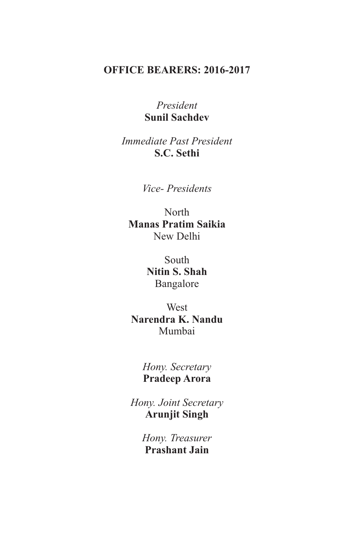### **OFFICE BEARERS: 2016-2017**

#### *President* **Sunil Sachdev**

*Immediate Past President* **S.C. Sethi**

*Vice- Presidents*

North **Manas Pratim Saikia** New Delhi

> South **Nitin S. Shah** Bangalore

**West Narendra K. Nandu** Mumbai

> *Hony. Secretary* **Pradeep Arora**

*Hony. Joint Secretary* **Arunjit Singh**

> *Hony. Treasurer* **Prashant Jain**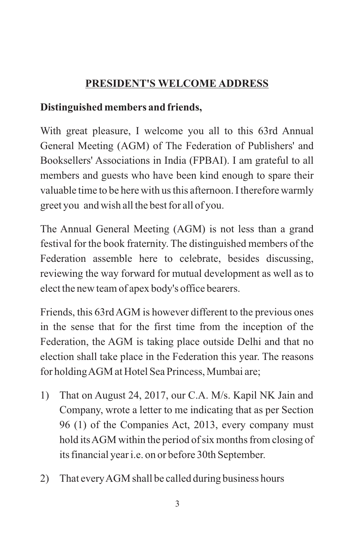# **PRESIDENT'S WELCOME ADDRESS**

### **Distinguished members and friends,**

With great pleasure, I welcome you all to this 63rd Annual General Meeting (AGM) of The Federation of Publishers' and Booksellers' Associations in India (FPBAI). I am grateful to all members and guests who have been kind enough to spare their valuable time to be here with us this afternoon. I therefore warmly greet you and wish all the best for all of you.

The Annual General Meeting (AGM) is not less than a grand festival for the book fraternity. The distinguished members of the Federation assemble here to celebrate, besides discussing, reviewing the way forward for mutual development as well as to elect the new team of apex body's office bearers.

Friends, this 63rd AGM is however different to the previous ones in the sense that for the first time from the inception of the Federation, the AGM is taking place outside Delhi and that no election shall take place in the Federation this year. The reasons for holding AGM at Hotel Sea Princess, Mumbai are;

- 1) That on August 24, 2017, our C.A. M/s. Kapil NK Jain and Company, wrote a letter to me indicating that as per Section 96 (1) of the Companies Act, 2013, every company must hold its AGM within the period of six months from closing of its financial year i.e. on or before 30th September.
- 2) That every AGM shall be called during business hours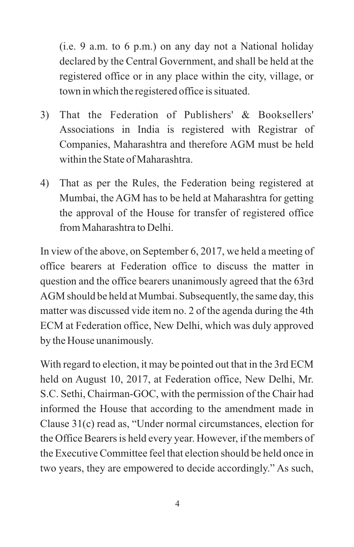(i.e. 9 a.m. to 6 p.m.) on any day not a National holiday declared by the Central Government, and shall be held at the registered office or in any place within the city, village, or town in which the registered office is situated.

- 3) That the Federation of Publishers' & Booksellers' Associations in India is registered with Registrar of Companies, Maharashtra and therefore AGM must be held within the State of Maharashtra.
- 4) That as per the Rules, the Federation being registered at Mumbai, the AGM has to be held at Maharashtra for getting the approval of the House for transfer of registered office from Maharashtra to Delhi.

In view of the above, on September 6, 2017, we held a meeting of office bearers at Federation office to discuss the matter in question and the office bearers unanimously agreed that the 63rd AGM should be held at Mumbai. Subsequently, the same day, this matter was discussed vide item no. 2 of the agenda during the 4th ECM at Federation office, New Delhi, which was duly approved by the House unanimously.

With regard to election, it may be pointed out that in the 3rd ECM held on August 10, 2017, at Federation office, New Delhi, Mr. S.C. Sethi, Chairman-GOC, with the permission of the Chair had informed the House that according to the amendment made in Clause 31(c) read as, "Under normal circumstances, election for the Office Bearers is held every year. However, if the members of the Executive Committee feel that election should be held once in two years, they are empowered to decide accordingly." As such,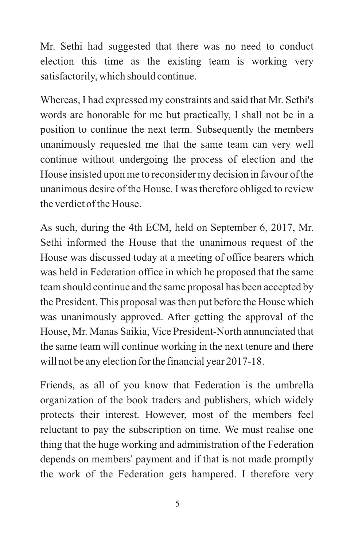Mr. Sethi had suggested that there was no need to conduct election this time as the existing team is working very satisfactorily, which should continue.

Whereas, I had expressed my constraints and said that Mr. Sethi's words are honorable for me but practically, I shall not be in a position to continue the next term. Subsequently the members unanimously requested me that the same team can very well continue without undergoing the process of election and the House insisted upon me to reconsider my decision in favour of the unanimous desire of the House. I was therefore obliged to review the verdict of the House.

As such, during the 4th ECM, held on September 6, 2017, Mr. Sethi informed the House that the unanimous request of the House was discussed today at a meeting of office bearers which was held in Federation office in which he proposed that the same team should continue and the same proposal has been accepted by the President. This proposal was then put before the House which was unanimously approved. After getting the approval of the House, Mr. Manas Saikia, Vice President-North annunciated that the same team will continue working in the next tenure and there will not be any election for the financial year 2017-18.

Friends, as all of you know that Federation is the umbrella organization of the book traders and publishers, which widely protects their interest. However, most of the members feel reluctant to pay the subscription on time. We must realise one thing that the huge working and administration of the Federation depends on members' payment and if that is not made promptly the work of the Federation gets hampered. I therefore very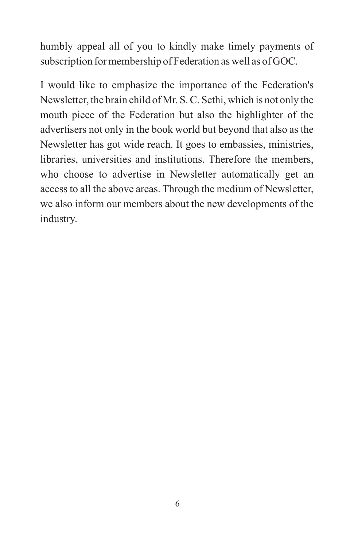humbly appeal all of you to kindly make timely payments of subscription for membership of Federation as well as of GOC.

I would like to emphasize the importance of the Federation's Newsletter, the brain child of Mr. S. C. Sethi, which is not only the mouth piece of the Federation but also the highlighter of the advertisers not only in the book world but beyond that also as the Newsletter has got wide reach. It goes to embassies, ministries, libraries, universities and institutions. Therefore the members, who choose to advertise in Newsletter automatically get an access to all the above areas. Through the medium of Newsletter, we also inform our members about the new developments of the industry.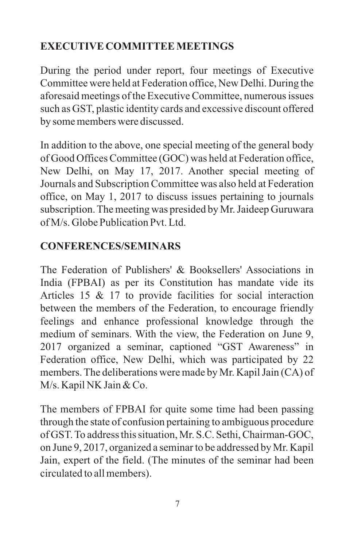# **EXECUTIVE COMMITTEE MEETINGS**

During the period under report, four meetings of Executive Committee were held at Federation office, New Delhi. During the aforesaid meetings of the Executive Committee, numerous issues such as GST, plastic identity cards and excessive discount offered by some members were discussed.

In addition to the above, one special meeting of the general body of Good Offices Committee (GOC) was held at Federation office, New Delhi, on May 17, 2017. Another special meeting of Journals and Subscription Committee was also held at Federation office, on May 1, 2017 to discuss issues pertaining to journals subscription. The meeting was presided by Mr. Jaideep Guruwara of M/s. Globe Publication Pvt. Ltd.

### **CONFERENCES/SEMINARS**

The Federation of Publishers' & Booksellers' Associations in India (FPBAI) as per its Constitution has mandate vide its Articles 15 & 17 to provide facilities for social interaction between the members of the Federation, to encourage friendly feelings and enhance professional knowledge through the medium of seminars. With the view, the Federation on June 9, 2017 organized a seminar, captioned "GST Awareness" in Federation office, New Delhi, which was participated by 22 members. The deliberations were made by Mr. Kapil Jain (CA) of M/s. Kapil NK Jain & Co.

The members of FPBAI for quite some time had been passing through the state of confusion pertaining to ambiguous procedure of GST. To address this situation, Mr. S.C. Sethi, Chairman-GOC, on June 9, 2017, organized a seminar to be addressed by Mr. Kapil Jain, expert of the field. (The minutes of the seminar had been circulated to all members).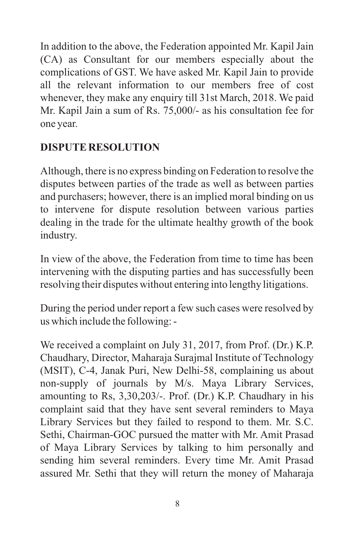In addition to the above, the Federation appointed Mr. Kapil Jain (CA) as Consultant for our members especially about the complications of GST. We have asked Mr. Kapil Jain to provide all the relevant information to our members free of cost whenever, they make any enquiry till 31st March, 2018. We paid Mr. Kapil Jain a sum of Rs. 75,000/- as his consultation fee for one year.

# **DISPUTE RESOLUTION**

Although, there is no express binding on Federation to resolve the disputes between parties of the trade as well as between parties and purchasers; however, there is an implied moral binding on us to intervene for dispute resolution between various parties dealing in the trade for the ultimate healthy growth of the book industry.

In view of the above, the Federation from time to time has been intervening with the disputing parties and has successfully been resolving their disputes without entering into lengthy litigations.

During the period under report a few such cases were resolved by us which include the following: -

We received a complaint on July 31, 2017, from Prof. (Dr.) K.P. Chaudhary, Director, Maharaja Surajmal Institute of Technology (MSIT), C-4, Janak Puri, New Delhi-58, complaining us about non-supply of journals by M/s. Maya Library Services, amounting to Rs, 3,30,203/-. Prof. (Dr.) K.P. Chaudhary in his complaint said that they have sent several reminders to Maya Library Services but they failed to respond to them. Mr. S.C. Sethi, Chairman-GOC pursued the matter with Mr. Amit Prasad of Maya Library Services by talking to him personally and sending him several reminders. Every time Mr. Amit Prasad assured Mr. Sethi that they will return the money of Maharaja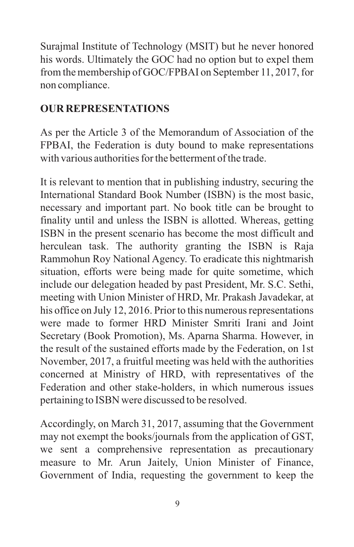Surajmal Institute of Technology (MSIT) but he never honored his words. Ultimately the GOC had no option but to expel them from the membership of GOC/FPBAI on September 11, 2017, for non compliance.

### **OUR REPRESENTATIONS**

As per the Article 3 of the Memorandum of Association of the FPBAI, the Federation is duty bound to make representations with various authorities for the betterment of the trade.

It is relevant to mention that in publishing industry, securing the International Standard Book Number (ISBN) is the most basic, necessary and important part. No book title can be brought to finality until and unless the ISBN is allotted. Whereas, getting ISBN in the present scenario has become the most difficult and herculean task. The authority granting the ISBN is Raja Rammohun Roy National Agency. To eradicate this nightmarish situation, efforts were being made for quite sometime, which include our delegation headed by past President, Mr. S.C. Sethi, meeting with Union Minister of HRD, Mr. Prakash Javadekar, at his office on July 12, 2016. Prior to this numerous representations were made to former HRD Minister Smriti Irani and Joint Secretary (Book Promotion), Ms. Aparna Sharma. However, in the result of the sustained efforts made by the Federation, on 1st November, 2017, a fruitful meeting was held with the authorities concerned at Ministry of HRD, with representatives of the Federation and other stake-holders, in which numerous issues pertaining to ISBN were discussed to be resolved.

Accordingly, on March 31, 2017, assuming that the Government may not exempt the books/journals from the application of GST, we sent a comprehensive representation as precautionary measure to Mr. Arun Jaitely, Union Minister of Finance, Government of India, requesting the government to keep the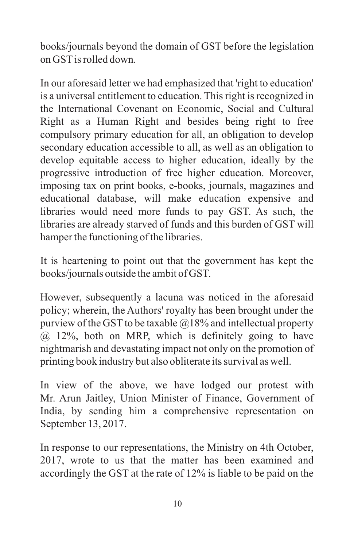books/journals beyond the domain of GST before the legislation on GSTis rolled down.

In our aforesaid letter we had emphasized that 'right to education' is a universal entitlement to education. This right is recognized in the International Covenant on Economic, Social and Cultural Right as a Human Right and besides being right to free compulsory primary education for all, an obligation to develop secondary education accessible to all, as well as an obligation to develop equitable access to higher education, ideally by the progressive introduction of free higher education. Moreover, imposing tax on print books, e-books, journals, magazines and educational database, will make education expensive and libraries would need more funds to pay GST. As such, the libraries are already starved of funds and this burden of GST will hamper the functioning of the libraries.

It is heartening to point out that the government has kept the books/journals outside the ambit of GST.

However, subsequently a lacuna was noticed in the aforesaid policy; wherein, the Authors' royalty has been brought under the purview of the GST to be taxable  $@18\%$  and intellectual property @ 12%, both on MRP, which is definitely going to have nightmarish and devastating impact not only on the promotion of printing book industry but also obliterate its survival as well.

In view of the above, we have lodged our protest with Mr. Arun Jaitley, Union Minister of Finance, Government of India, by sending him a comprehensive representation on September 13, 2017.

In response to our representations, the Ministry on 4th October, 2017, wrote to us that the matter has been examined and accordingly the GST at the rate of 12% is liable to be paid on the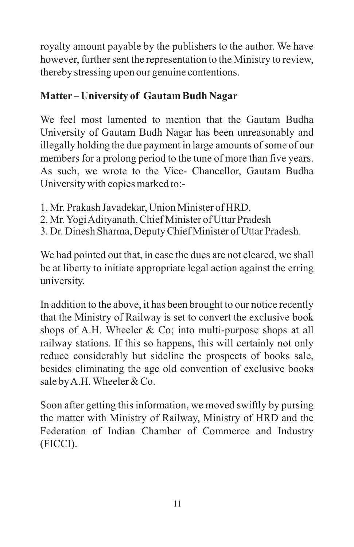royalty amount payable by the publishers to the author. We have however, further sent the representation to the Ministry to review, thereby stressing upon our genuine contentions.

# **Matter – University of Gautam Budh Nagar**

We feel most lamented to mention that the Gautam Budha University of Gautam Budh Nagar has been unreasonably and illegally holding the due payment in large amounts of some of our members for a prolong period to the tune of more than five years. As such, we wrote to the Vice- Chancellor, Gautam Budha University with copies marked to:-

- 1. Mr. Prakash Javadekar, Union Minister of HRD.
- 2. Mr. Yogi Adityanath, Chief Minister of Uttar Pradesh
- 3. Dr. Dinesh Sharma, Deputy Chief Minister of Uttar Pradesh.

We had pointed out that, in case the dues are not cleared, we shall be at liberty to initiate appropriate legal action against the erring university.

In addition to the above, it has been brought to our notice recently that the Ministry of Railway is set to convert the exclusive book shops of A.H. Wheeler & Co; into multi-purpose shops at all railway stations. If this so happens, this will certainly not only reduce considerably but sideline the prospects of books sale, besides eliminating the age old convention of exclusive books sale by A.H. Wheeler & Co.

Soon after getting this information, we moved swiftly by pursing the matter with Ministry of Railway, Ministry of HRD and the Federation of Indian Chamber of Commerce and Industry (FICCI).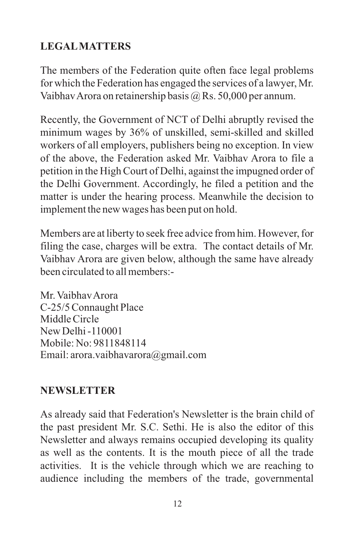### **LEGALMATTERS**

The members of the Federation quite often face legal problems for which the Federation has engaged the services of a lawyer, Mr. Vaibhav Arora on retainership basis @ Rs. 50,000 per annum.

Recently, the Government of NCT of Delhi abruptly revised the minimum wages by 36% of unskilled, semi-skilled and skilled workers of all employers, publishers being no exception. In view of the above, the Federation asked Mr. Vaibhav Arora to file a petition in the High Court of Delhi, against the impugned order of the Delhi Government. Accordingly, he filed a petition and the matter is under the hearing process. Meanwhile the decision to implement the new wages has been put on hold.

Members are at liberty to seek free advice from him. However, for filing the case, charges will be extra. The contact details of Mr. Vaibhav Arora are given below, although the same have already been circulated to all members:-

Mr. Vaibhav Arora C-25/5 Connaught Place Middle Circle New Delhi -110001 Mobile: No: 9811848114 Email: arora.vaibhavarora@gmail.com

### **NEWSLETTER**

As already said that Federation's Newsletter is the brain child of the past president Mr. S.C. Sethi. He is also the editor of this Newsletter and always remains occupied developing its quality as well as the contents. It is the mouth piece of all the trade activities. It is the vehicle through which we are reaching to audience including the members of the trade, governmental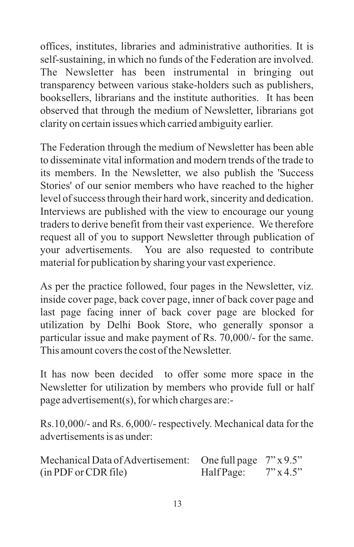offices, institutes, libraries and administrative authorities. It is self-sustaining, in which no funds of the Federation are involved. The Newsletter has been instrumental in bringing out transparency between various stake-holders such as publishers, booksellers, librarians and the institute authorities. It has been observed that through the medium of Newsletter, librarians got clarity on certain issues which carried ambiguity earlier.

The Federation through the medium of Newsletter has been able to disseminate vital information and modern trends of the trade to its members. In the Newsletter, we also publish the 'Success Stories' of our senior members who have reached to the higher level of success through their hard work, sincerity and dedication. Interviews are published with the view to encourage our young traders to derive benefit from their vast experience. We therefore request all of you to support Newsletter through publication of your advertisements. You are also requested to contribute material for publication by sharing your vast experience.

As per the practice followed, four pages in the Newsletter, viz. inside cover page, back cover page, inner of back cover page and last page facing inner of back cover page are blocked for utilization by Delhi Book Store, who generally sponsor a particular issue and make payment of Rs. 70,000/- for the same. This amount covers the cost of the Newsletter.

It has now been decided to offer some more space in the Newsletter for utilization by members who provide full or half page advertisement(s), for which charges are:-

Rs.10,000/- and Rs. 6,000/- respectively. Mechanical data for the advertisements is as under:

| Mechanical Data of Advertisement: One full page $7" \times 9.5"$ |            |              |
|------------------------------------------------------------------|------------|--------------|
| (in PDF or CDR file)                                             | Half Page: | $7''$ x 4.5" |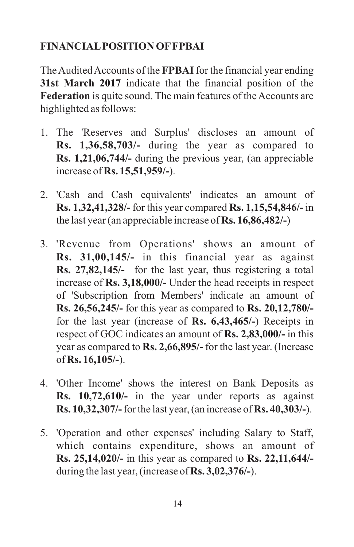### **FINANCIALPOSITION OFFPBAI**

The Audited Accounts of the **FPBAI**for the financial year ending **31st March 2017** indicate that the financial position of the **Federation** is quite sound. The main features of the Accounts are highlighted as follows:

- 1. The 'Reserves and Surplus' discloses an amount of **Rs. 1,36,58,703/-** during the year as compared to **Rs. 1,21,06,744/-** during the previous year, (an appreciable increase of **Rs. 15,51,959/-**).
- 2. 'Cash and Cash equivalents' indicates an amount of **Rs. 1,32,41,328/-** for this year compared **Rs. 1,15,54,846/-** in the last year (an appreciable increase of **Rs. 16,86,482/-**)
- 3. 'Revenue from Operations' shows an amount of **Rs. 31,00,145/-** in this financial year as against **Rs. 27,82,145/-** for the last year, thus registering a total increase of **Rs. 3,18,000/-** Under the head receipts in respect of 'Subscription from Members' indicate an amount of **Rs. 26,56,245/-** for this year as compared to **Rs. 20,12,780/** for the last year (increase of **Rs. 6,43,465/-**) Receipts in respect of GOC indicates an amount of **Rs. 2,83,000/-** in this year as compared to **Rs. 2,66,895/-** for the last year. (Increase of **Rs. 16,105/-**).
- 4. 'Other Income' shows the interest on Bank Deposits as **Rs. 10,72,610/-** in the year under reports as against **Rs. 10,32,307/-**for the last year, (an increase of **Rs. 40,303/-**).
- 5. 'Operation and other expenses' including Salary to Staff, which contains expenditure, shows an amount of **Rs. 25,14,020/-** in this year as compared to **Rs. 22,11,644/** during the last year, (increase of **Rs. 3,02,376/-**).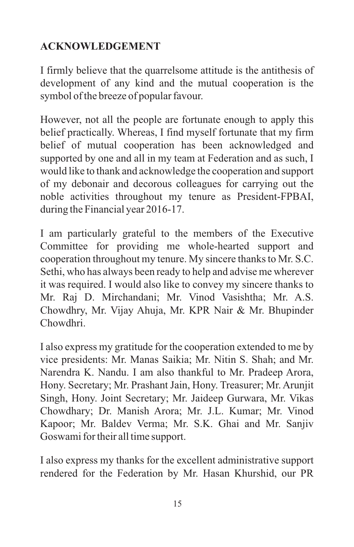### **ACKNOWLEDGEMENT**

I firmly believe that the quarrelsome attitude is the antithesis of development of any kind and the mutual cooperation is the symbol of the breeze of popular favour.

However, not all the people are fortunate enough to apply this belief practically. Whereas, I find myself fortunate that my firm belief of mutual cooperation has been acknowledged and supported by one and all in my team at Federation and as such, I would like to thank and acknowledge the cooperation and support of my debonair and decorous colleagues for carrying out the noble activities throughout my tenure as President-FPBAI, during the Financial year 2016-17.

I am particularly grateful to the members of the Executive Committee for providing me whole-hearted support and cooperation throughout my tenure. My sincere thanks to Mr. S.C. Sethi, who has always been ready to help and advise me wherever it was required. I would also like to convey my sincere thanks to Mr. Raj D. Mirchandani; Mr. Vinod Vasishtha; Mr. A.S. Chowdhry, Mr. Vijay Ahuja, Mr. KPR Nair & Mr. Bhupinder Chowdhri.

I also express my gratitude for the cooperation extended to me by vice presidents: Mr. Manas Saikia; Mr. Nitin S. Shah; and Mr. Narendra K. Nandu. I am also thankful to Mr. Pradeep Arora, Hony. Secretary; Mr. Prashant Jain, Hony. Treasurer; Mr. Arunjit Singh, Hony. Joint Secretary; Mr. Jaideep Gurwara, Mr. Vikas Chowdhary; Dr. Manish Arora; Mr. J.L. Kumar; Mr. Vinod Kapoor; Mr. Baldev Verma; Mr. S.K. Ghai and Mr. Sanjiv Goswami for their all time support.

I also express my thanks for the excellent administrative support rendered for the Federation by Mr. Hasan Khurshid, our PR